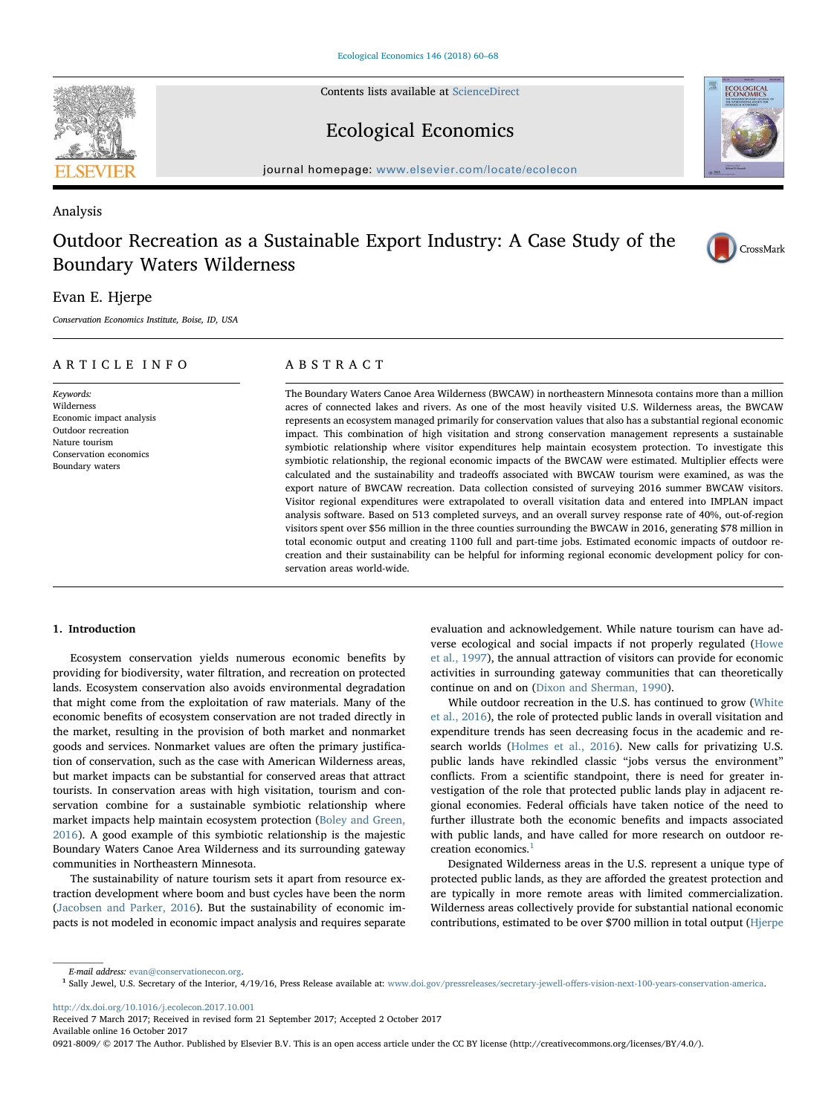Contents lists available at [ScienceDirect](http://www.sciencedirect.com/science/journal/09218009)



Ecological Economics



journal homepage: [www.elsevier.com/locate/ecolecon](https://www.elsevier.com/locate/ecolecon)

## Analysis

# Outdoor Recreation as a Sustainable Export Industry: A Case Study of the Boundary Waters Wilderness



## Evan E. Hjerpe

Conservation Economics Institute, Boise, ID, USA

## ARTICLE INFO

Keywords: Wilderness Economic impact analysis Outdoor recreation Nature tourism Conservation economics Boundary waters

## ABSTRACT

The Boundary Waters Canoe Area Wilderness (BWCAW) in northeastern Minnesota contains more than a million acres of connected lakes and rivers. As one of the most heavily visited U.S. Wilderness areas, the BWCAW represents an ecosystem managed primarily for conservation values that also has a substantial regional economic impact. This combination of high visitation and strong conservation management represents a sustainable symbiotic relationship where visitor expenditures help maintain ecosystem protection. To investigate this symbiotic relationship, the regional economic impacts of the BWCAW were estimated. Multiplier effects were calculated and the sustainability and tradeoffs associated with BWCAW tourism were examined, as was the export nature of BWCAW recreation. Data collection consisted of surveying 2016 summer BWCAW visitors. Visitor regional expenditures were extrapolated to overall visitation data and entered into IMPLAN impact analysis software. Based on 513 completed surveys, and an overall survey response rate of 40%, out-of-region visitors spent over \$56 million in the three counties surrounding the BWCAW in 2016, generating \$78 million in total economic output and creating 1100 full and part-time jobs. Estimated economic impacts of outdoor recreation and their sustainability can be helpful for informing regional economic development policy for conservation areas world-wide.

## 1. Introduction

Ecosystem conservation yields numerous economic benefits by providing for biodiversity, water filtration, and recreation on protected lands. Ecosystem conservation also avoids environmental degradation that might come from the exploitation of raw materials. Many of the economic benefits of ecosystem conservation are not traded directly in the market, resulting in the provision of both market and nonmarket goods and services. Nonmarket values are often the primary justification of conservation, such as the case with American Wilderness areas, but market impacts can be substantial for conserved areas that attract tourists. In conservation areas with high visitation, tourism and conservation combine for a sustainable symbiotic relationship where market impacts help maintain ecosystem protection [\(Boley and Green,](#page-8-0) [2016\)](#page-8-0). A good example of this symbiotic relationship is the majestic Boundary Waters Canoe Area Wilderness and its surrounding gateway communities in Northeastern Minnesota.

The sustainability of nature tourism sets it apart from resource extraction development where boom and bust cycles have been the norm ([Jacobsen and Parker, 2016](#page-8-1)). But the sustainability of economic impacts is not modeled in economic impact analysis and requires separate evaluation and acknowledgement. While nature tourism can have adverse ecological and social impacts if not properly regulated [\(Howe](#page-8-2) [et al., 1997\)](#page-8-2), the annual attraction of visitors can provide for economic activities in surrounding gateway communities that can theoretically continue on and on ([Dixon and Sherman, 1990\)](#page-8-3).

While outdoor recreation in the U.S. has continued to grow ([White](#page-8-4) [et al., 2016\)](#page-8-4), the role of protected public lands in overall visitation and expenditure trends has seen decreasing focus in the academic and research worlds ([Holmes et al., 2016](#page-8-5)). New calls for privatizing U.S. public lands have rekindled classic "jobs versus the environment" conflicts. From a scientific standpoint, there is need for greater investigation of the role that protected public lands play in adjacent regional economies. Federal officials have taken notice of the need to further illustrate both the economic benefits and impacts associated with public lands, and have called for more research on outdoor re-creation economics.<sup>[1](#page-0-0)</sup>

Designated Wilderness areas in the U.S. represent a unique type of protected public lands, as they are afforded the greatest protection and are typically in more remote areas with limited commercialization. Wilderness areas collectively provide for substantial national economic contributions, estimated to be over \$700 million in total output [\(Hjerpe](#page-8-6)

<http://dx.doi.org/10.1016/j.ecolecon.2017.10.001>

Received 7 March 2017; Received in revised form 21 September 2017; Accepted 2 October 2017 Available online 16 October 2017

0921-8009/ © 2017 The Author. Published by Elsevier B.V. This is an open access article under the CC BY license (http://creativecommons.org/licenses/BY/4.0/).

<span id="page-0-0"></span>E-mail address: [evan@conservationecon.org.](mailto:evan@conservationecon.org)<br><sup>1</sup> Sally Jewel, U.S. Secretary of the Interior, 4/19/16, Press Release available at: www.doi.gov/pressreleases/secretary-jewell-off[ers-vision-next-100-years-conservation-america.](http://www.doi.gov/pressreleases/secretary-jewell-offers-vision-next-100-years-conservation-america)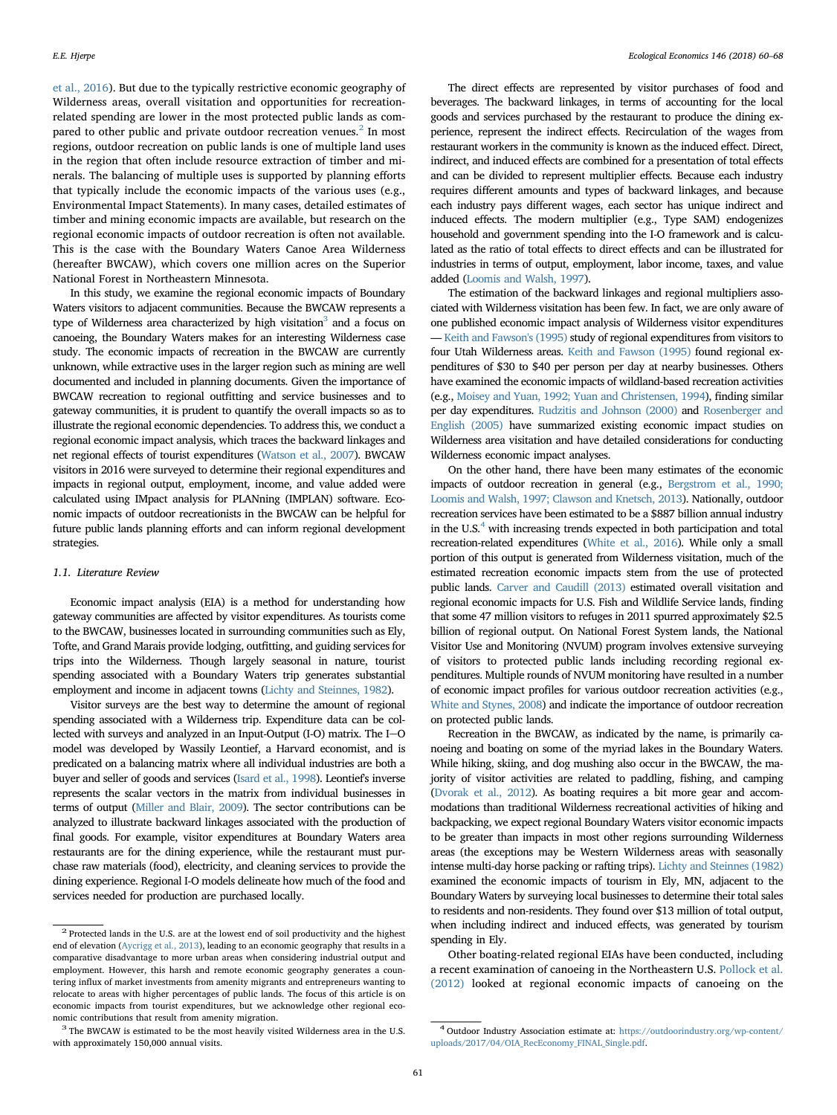[et al., 2016](#page-8-6)). But due to the typically restrictive economic geography of Wilderness areas, overall visitation and opportunities for recreationrelated spending are lower in the most protected public lands as com-pared to other public and private outdoor recreation venues.<sup>[2](#page-1-0)</sup> In most regions, outdoor recreation on public lands is one of multiple land uses in the region that often include resource extraction of timber and minerals. The balancing of multiple uses is supported by planning efforts that typically include the economic impacts of the various uses (e.g., Environmental Impact Statements). In many cases, detailed estimates of timber and mining economic impacts are available, but research on the regional economic impacts of outdoor recreation is often not available. This is the case with the Boundary Waters Canoe Area Wilderness (hereafter BWCAW), which covers one million acres on the Superior National Forest in Northeastern Minnesota.

In this study, we examine the regional economic impacts of Boundary Waters visitors to adjacent communities. Because the BWCAW represents a type of Wilderness area characterized by high visitation<sup>3</sup> and a focus on canoeing, the Boundary Waters makes for an interesting Wilderness case study. The economic impacts of recreation in the BWCAW are currently unknown, while extractive uses in the larger region such as mining are well documented and included in planning documents. Given the importance of BWCAW recreation to regional outfitting and service businesses and to gateway communities, it is prudent to quantify the overall impacts so as to illustrate the regional economic dependencies. To address this, we conduct a regional economic impact analysis, which traces the backward linkages and net regional effects of tourist expenditures [\(Watson et al., 2007](#page-8-7)). BWCAW visitors in 2016 were surveyed to determine their regional expenditures and impacts in regional output, employment, income, and value added were calculated using IMpact analysis for PLANning (IMPLAN) software. Economic impacts of outdoor recreationists in the BWCAW can be helpful for future public lands planning efforts and can inform regional development strategies.

#### 1.1. Literature Review

Economic impact analysis (EIA) is a method for understanding how gateway communities are affected by visitor expenditures. As tourists come to the BWCAW, businesses located in surrounding communities such as Ely, Tofte, and Grand Marais provide lodging, outfitting, and guiding services for trips into the Wilderness. Though largely seasonal in nature, tourist spending associated with a Boundary Waters trip generates substantial employment and income in adjacent towns ([Lichty and Steinnes, 1982\)](#page-8-8).

Visitor surveys are the best way to determine the amount of regional spending associated with a Wilderness trip. Expenditure data can be collected with surveys and analyzed in an Input-Output (I-O) matrix. The I $-$ O model was developed by Wassily Leontief, a Harvard economist, and is predicated on a balancing matrix where all individual industries are both a buyer and seller of goods and services [\(Isard et al., 1998\)](#page-8-9). Leontief's inverse represents the scalar vectors in the matrix from individual businesses in terms of output ([Miller and Blair, 2009\)](#page-8-10). The sector contributions can be analyzed to illustrate backward linkages associated with the production of final goods. For example, visitor expenditures at Boundary Waters area restaurants are for the dining experience, while the restaurant must purchase raw materials (food), electricity, and cleaning services to provide the dining experience. Regional I-O models delineate how much of the food and services needed for production are purchased locally.

The direct effects are represented by visitor purchases of food and beverages. The backward linkages, in terms of accounting for the local goods and services purchased by the restaurant to produce the dining experience, represent the indirect effects. Recirculation of the wages from restaurant workers in the community is known as the induced effect. Direct, indirect, and induced effects are combined for a presentation of total effects and can be divided to represent multiplier effects. Because each industry requires different amounts and types of backward linkages, and because each industry pays different wages, each sector has unique indirect and induced effects. The modern multiplier (e.g., Type SAM) endogenizes household and government spending into the I-O framework and is calculated as the ratio of total effects to direct effects and can be illustrated for industries in terms of output, employment, labor income, taxes, and value added [\(Loomis and Walsh, 1997\)](#page-8-11).

The estimation of the backward linkages and regional multipliers associated with Wilderness visitation has been few. In fact, we are only aware of one published economic impact analysis of Wilderness visitor expenditures — [Keith and Fawson's \(1995\)](#page-8-12) study of regional expenditures from visitors to four Utah Wilderness areas. [Keith and Fawson \(1995\)](#page-8-12) found regional expenditures of \$30 to \$40 per person per day at nearby businesses. Others have examined the economic impacts of wildland-based recreation activities (e.g., [Moisey and Yuan, 1992; Yuan and Christensen, 1994\)](#page-8-13), finding similar per day expenditures. [Rudzitis and Johnson \(2000\)](#page-8-14) and [Rosenberger and](#page-8-15) [English \(2005\)](#page-8-15) have summarized existing economic impact studies on Wilderness area visitation and have detailed considerations for conducting Wilderness economic impact analyses.

On the other hand, there have been many estimates of the economic impacts of outdoor recreation in general (e.g., [Bergstrom et al., 1990;](#page-8-16) [Loomis and Walsh, 1997; Clawson and Knetsch, 2013\)](#page-8-16). Nationally, outdoor recreation services have been estimated to be a \$887 billion annual industry in the U.S. $<sup>4</sup>$  with increasing trends expected in both participation and total</sup> recreation-related expenditures [\(White et al., 2016](#page-8-4)). While only a small portion of this output is generated from Wilderness visitation, much of the estimated recreation economic impacts stem from the use of protected public lands. [Carver and Caudill \(2013\)](#page-8-17) estimated overall visitation and regional economic impacts for U.S. Fish and Wildlife Service lands, finding that some 47 million visitors to refuges in 2011 spurred approximately \$2.5 billion of regional output. On National Forest System lands, the National Visitor Use and Monitoring (NVUM) program involves extensive surveying of visitors to protected public lands including recording regional expenditures. Multiple rounds of NVUM monitoring have resulted in a number of economic impact profiles for various outdoor recreation activities (e.g., [White and Stynes, 2008\)](#page-8-18) and indicate the importance of outdoor recreation on protected public lands.

Recreation in the BWCAW, as indicated by the name, is primarily canoeing and boating on some of the myriad lakes in the Boundary Waters. While hiking, skiing, and dog mushing also occur in the BWCAW, the majority of visitor activities are related to paddling, fishing, and camping [\(Dvorak et al., 2012](#page-8-19)). As boating requires a bit more gear and accommodations than traditional Wilderness recreational activities of hiking and backpacking, we expect regional Boundary Waters visitor economic impacts to be greater than impacts in most other regions surrounding Wilderness areas (the exceptions may be Western Wilderness areas with seasonally intense multi-day horse packing or rafting trips). [Lichty and Steinnes \(1982\)](#page-8-8) examined the economic impacts of tourism in Ely, MN, adjacent to the Boundary Waters by surveying local businesses to determine their total sales to residents and non-residents. They found over \$13 million of total output, when including indirect and induced effects, was generated by tourism spending in Ely.

Other boating-related regional EIAs have been conducted, including a recent examination of canoeing in the Northeastern U.S. [Pollock et al.](#page-8-20) [\(2012\)](#page-8-20) looked at regional economic impacts of canoeing on the

<span id="page-1-0"></span><sup>&</sup>lt;sup>2</sup> Protected lands in the U.S. are at the lowest end of soil productivity and the highest end of elevation ([Aycrigg et al., 2013\)](#page-8-21), leading to an economic geography that results in a comparative disadvantage to more urban areas when considering industrial output and employment. However, this harsh and remote economic geography generates a countering influx of market investments from amenity migrants and entrepreneurs wanting to relocate to areas with higher percentages of public lands. The focus of this article is on economic impacts from tourist expenditures, but we acknowledge other regional economic contributions that result from amenity migration.  $^3$  The BWCAW is estimated to be the most heavily visited Wilderness area in the U.S.  $^3$ 

<span id="page-1-1"></span>with approximately 150,000 annual visits.

<span id="page-1-2"></span><sup>4</sup> Outdoor Industry Association estimate at: [https://outdoorindustry.org/wp-content/](https://outdoorindustry.org/wp-content/uploads/2017/04/OIA_RecEconomy_FINAL_Single.pdf) uploads/2017/04/OIA RecEconomy FINAL Single.pdf.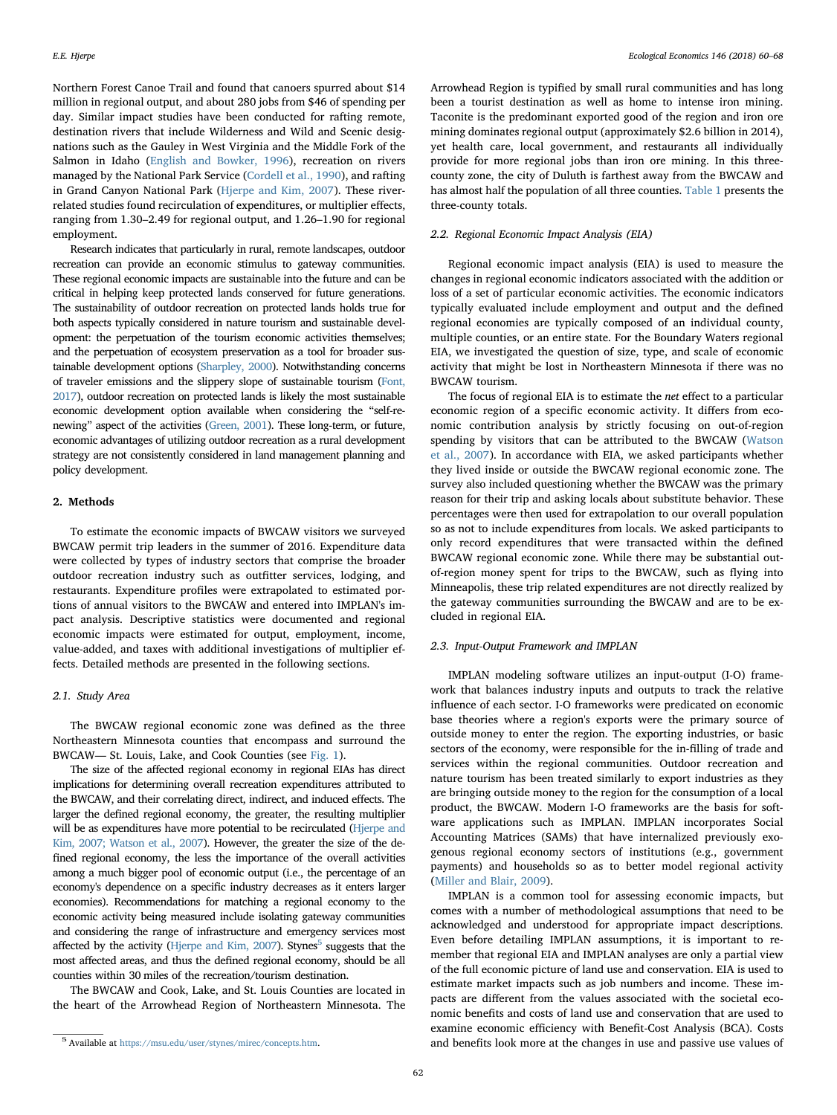Northern Forest Canoe Trail and found that canoers spurred about \$14 million in regional output, and about 280 jobs from \$46 of spending per day. Similar impact studies have been conducted for rafting remote, destination rivers that include Wilderness and Wild and Scenic designations such as the Gauley in West Virginia and the Middle Fork of the Salmon in Idaho ([English and Bowker, 1996\)](#page-8-22), recreation on rivers managed by the National Park Service ([Cordell et al., 1990\)](#page-8-23), and rafting in Grand Canyon National Park [\(Hjerpe and Kim, 2007\)](#page-8-24). These riverrelated studies found recirculation of expenditures, or multiplier effects, ranging from 1.30–2.49 for regional output, and 1.26–1.90 for regional employment.

Research indicates that particularly in rural, remote landscapes, outdoor recreation can provide an economic stimulus to gateway communities. These regional economic impacts are sustainable into the future and can be critical in helping keep protected lands conserved for future generations. The sustainability of outdoor recreation on protected lands holds true for both aspects typically considered in nature tourism and sustainable development: the perpetuation of the tourism economic activities themselves; and the perpetuation of ecosystem preservation as a tool for broader sustainable development options [\(Sharpley, 2000\)](#page-8-25). Notwithstanding concerns of traveler emissions and the slippery slope of sustainable tourism ([Font,](#page-8-26) [2017\)](#page-8-26), outdoor recreation on protected lands is likely the most sustainable economic development option available when considering the "self-renewing" aspect of the activities ([Green, 2001](#page-8-27)). These long-term, or future, economic advantages of utilizing outdoor recreation as a rural development strategy are not consistently considered in land management planning and policy development.

### 2. Methods

To estimate the economic impacts of BWCAW visitors we surveyed BWCAW permit trip leaders in the summer of 2016. Expenditure data were collected by types of industry sectors that comprise the broader outdoor recreation industry such as outfitter services, lodging, and restaurants. Expenditure profiles were extrapolated to estimated portions of annual visitors to the BWCAW and entered into IMPLAN's impact analysis. Descriptive statistics were documented and regional economic impacts were estimated for output, employment, income, value-added, and taxes with additional investigations of multiplier effects. Detailed methods are presented in the following sections.

## 2.1. Study Area

The BWCAW regional economic zone was defined as the three Northeastern Minnesota counties that encompass and surround the BWCAW— St. Louis, Lake, and Cook Counties (see [Fig. 1](#page-3-0)).

The size of the affected regional economy in regional EIAs has direct implications for determining overall recreation expenditures attributed to the BWCAW, and their correlating direct, indirect, and induced effects. The larger the defined regional economy, the greater, the resulting multiplier will be as expenditures have more potential to be recirculated [\(Hjerpe and](#page-8-24) [Kim, 2007; Watson et al., 2007\)](#page-8-24). However, the greater the size of the defined regional economy, the less the importance of the overall activities among a much bigger pool of economic output (i.e., the percentage of an economy's dependence on a specific industry decreases as it enters larger economies). Recommendations for matching a regional economy to the economic activity being measured include isolating gateway communities and considering the range of infrastructure and emergency services most affected by the activity (Hjerpe and Kim,  $2007$ ). Stynes<sup>5</sup> suggests that the most affected areas, and thus the defined regional economy, should be all counties within 30 miles of the recreation/tourism destination.

The BWCAW and Cook, Lake, and St. Louis Counties are located in the heart of the Arrowhead Region of Northeastern Minnesota. The

Arrowhead Region is typified by small rural communities and has long been a tourist destination as well as home to intense iron mining. Taconite is the predominant exported good of the region and iron ore mining dominates regional output (approximately \$2.6 billion in 2014), yet health care, local government, and restaurants all individually provide for more regional jobs than iron ore mining. In this threecounty zone, the city of Duluth is farthest away from the BWCAW and has almost half the population of all three counties. [Table 1](#page-3-1) presents the three-county totals.

## 2.2. Regional Economic Impact Analysis (EIA)

Regional economic impact analysis (EIA) is used to measure the changes in regional economic indicators associated with the addition or loss of a set of particular economic activities. The economic indicators typically evaluated include employment and output and the defined regional economies are typically composed of an individual county, multiple counties, or an entire state. For the Boundary Waters regional EIA, we investigated the question of size, type, and scale of economic activity that might be lost in Northeastern Minnesota if there was no BWCAW tourism.

The focus of regional EIA is to estimate the net effect to a particular economic region of a specific economic activity. It differs from economic contribution analysis by strictly focusing on out-of-region spending by visitors that can be attributed to the BWCAW [\(Watson](#page-8-7) [et al., 2007](#page-8-7)). In accordance with EIA, we asked participants whether they lived inside or outside the BWCAW regional economic zone. The survey also included questioning whether the BWCAW was the primary reason for their trip and asking locals about substitute behavior. These percentages were then used for extrapolation to our overall population so as not to include expenditures from locals. We asked participants to only record expenditures that were transacted within the defined BWCAW regional economic zone. While there may be substantial outof-region money spent for trips to the BWCAW, such as flying into Minneapolis, these trip related expenditures are not directly realized by the gateway communities surrounding the BWCAW and are to be excluded in regional EIA.

### 2.3. Input-Output Framework and IMPLAN

IMPLAN modeling software utilizes an input-output (I-O) framework that balances industry inputs and outputs to track the relative influence of each sector. I-O frameworks were predicated on economic base theories where a region's exports were the primary source of outside money to enter the region. The exporting industries, or basic sectors of the economy, were responsible for the in-filling of trade and services within the regional communities. Outdoor recreation and nature tourism has been treated similarly to export industries as they are bringing outside money to the region for the consumption of a local product, the BWCAW. Modern I-O frameworks are the basis for software applications such as IMPLAN. IMPLAN incorporates Social Accounting Matrices (SAMs) that have internalized previously exogenous regional economy sectors of institutions (e.g., government payments) and households so as to better model regional activity ([Miller and Blair, 2009\)](#page-8-10).

IMPLAN is a common tool for assessing economic impacts, but comes with a number of methodological assumptions that need to be acknowledged and understood for appropriate impact descriptions. Even before detailing IMPLAN assumptions, it is important to remember that regional EIA and IMPLAN analyses are only a partial view of the full economic picture of land use and conservation. EIA is used to estimate market impacts such as job numbers and income. These impacts are different from the values associated with the societal economic benefits and costs of land use and conservation that are used to examine economic efficiency with Benefit-Cost Analysis (BCA). Costs and benefits look more at the changes in use and passive use values of <sup>5</sup> Available at <https://msu.edu/user/stynes/mirec/concepts.htm>.

<span id="page-2-0"></span>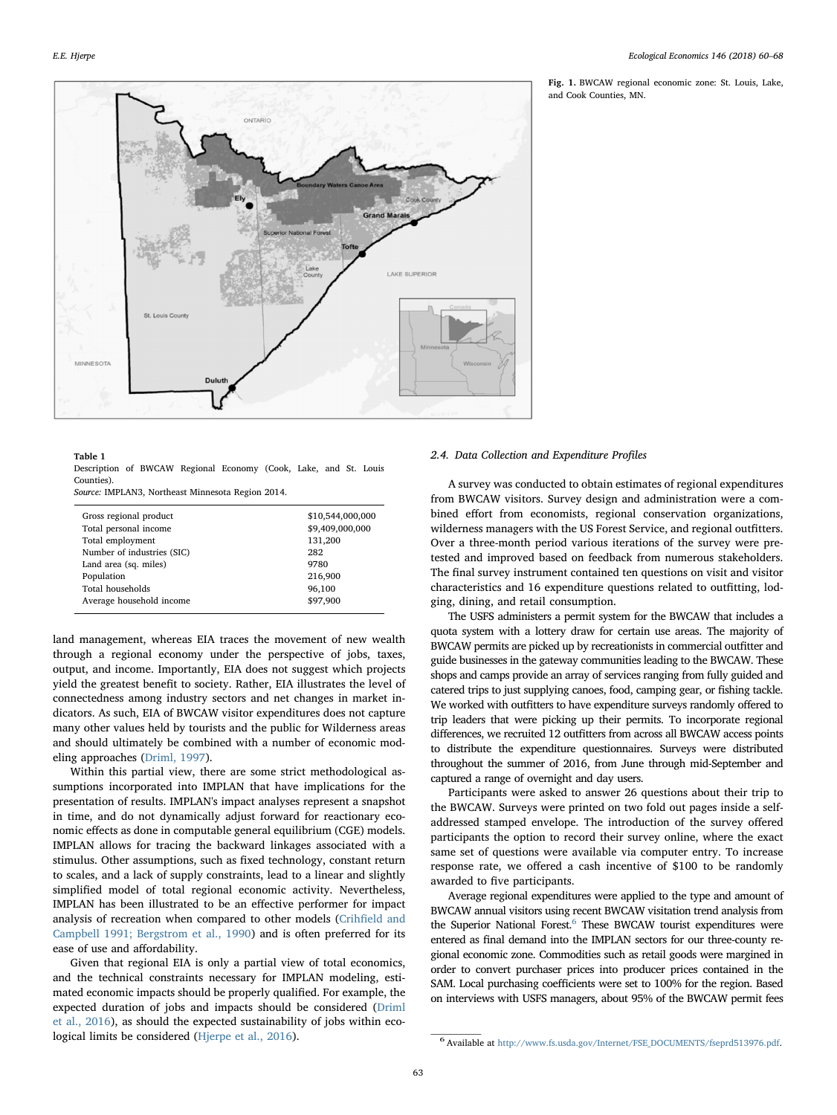<span id="page-3-0"></span>Fig. 1. BWCAW regional economic zone: St. Louis, Lake, and Cook Counties, MN. LAKE SUPERIOR MINNESOTA

#### <span id="page-3-1"></span>Table 1

Description of BWCAW Regional Economy (Cook, Lake, and St. Louis Counties).

Source: IMPLAN3, Northeast Minnesota Region 2014.

| Gross regional product     | \$10,544,000,000 |
|----------------------------|------------------|
| Total personal income      | \$9,409,000,000  |
| Total employment           | 131,200          |
| Number of industries (SIC) | 282              |
| Land area (sq. miles)      | 9780             |
| Population                 | 216,900          |
| Total households           | 96.100           |
| Average household income   | \$97,900         |
|                            |                  |

land management, whereas EIA traces the movement of new wealth through a regional economy under the perspective of jobs, taxes, output, and income. Importantly, EIA does not suggest which projects yield the greatest benefit to society. Rather, EIA illustrates the level of connectedness among industry sectors and net changes in market indicators. As such, EIA of BWCAW visitor expenditures does not capture many other values held by tourists and the public for Wilderness areas and should ultimately be combined with a number of economic modeling approaches [\(Driml, 1997](#page-8-28)).

Within this partial view, there are some strict methodological assumptions incorporated into IMPLAN that have implications for the presentation of results. IMPLAN's impact analyses represent a snapshot in time, and do not dynamically adjust forward for reactionary economic effects as done in computable general equilibrium (CGE) models. IMPLAN allows for tracing the backward linkages associated with a stimulus. Other assumptions, such as fixed technology, constant return to scales, and a lack of supply constraints, lead to a linear and slightly simplified model of total regional economic activity. Nevertheless, IMPLAN has been illustrated to be an effective performer for impact analysis of recreation when compared to other models (Crihfi[eld and](#page-8-29) [Campbell 1991; Bergstrom et al., 1990\)](#page-8-29) and is often preferred for its ease of use and affordability.

Given that regional EIA is only a partial view of total economics, and the technical constraints necessary for IMPLAN modeling, estimated economic impacts should be properly qualified. For example, the expected duration of jobs and impacts should be considered [\(Driml](#page-8-30) [et al., 2016\)](#page-8-30), as should the expected sustainability of jobs within ecological limits be considered ([Hjerpe et al., 2016](#page-8-6)).

#### 2.4. Data Collection and Expenditure Profiles

A survey was conducted to obtain estimates of regional expenditures from BWCAW visitors. Survey design and administration were a combined effort from economists, regional conservation organizations, wilderness managers with the US Forest Service, and regional outfitters. Over a three-month period various iterations of the survey were pretested and improved based on feedback from numerous stakeholders. The final survey instrument contained ten questions on visit and visitor characteristics and 16 expenditure questions related to outfitting, lodging, dining, and retail consumption.

The USFS administers a permit system for the BWCAW that includes a quota system with a lottery draw for certain use areas. The majority of BWCAW permits are picked up by recreationists in commercial outfitter and guide businesses in the gateway communities leading to the BWCAW. These shops and camps provide an array of services ranging from fully guided and catered trips to just supplying canoes, food, camping gear, or fishing tackle. We worked with outfitters to have expenditure surveys randomly offered to trip leaders that were picking up their permits. To incorporate regional differences, we recruited 12 outfitters from across all BWCAW access points to distribute the expenditure questionnaires. Surveys were distributed throughout the summer of 2016, from June through mid-September and captured a range of overnight and day users.

Participants were asked to answer 26 questions about their trip to the BWCAW. Surveys were printed on two fold out pages inside a selfaddressed stamped envelope. The introduction of the survey offered participants the option to record their survey online, where the exact same set of questions were available via computer entry. To increase response rate, we offered a cash incentive of \$100 to be randomly awarded to five participants.

Average regional expenditures were applied to the type and amount of BWCAW annual visitors using recent BWCAW visitation trend analysis from the Superior National Forest.<sup>6</sup> These BWCAW tourist expenditures were entered as final demand into the IMPLAN sectors for our three-county regional economic zone. Commodities such as retail goods were margined in order to convert purchaser prices into producer prices contained in the SAM. Local purchasing coefficients were set to 100% for the region. Based on interviews with USFS managers, about 95% of the BWCAW permit fees

<span id="page-3-2"></span><sup>6</sup> Available at [http://www.fs.usda.gov/Internet/FSE\\_DOCUMENTS/fseprd513976.pdf](http://www.fs.usda.gov/Internet/FSE_DOCUMENTS/fseprd513976.pdf).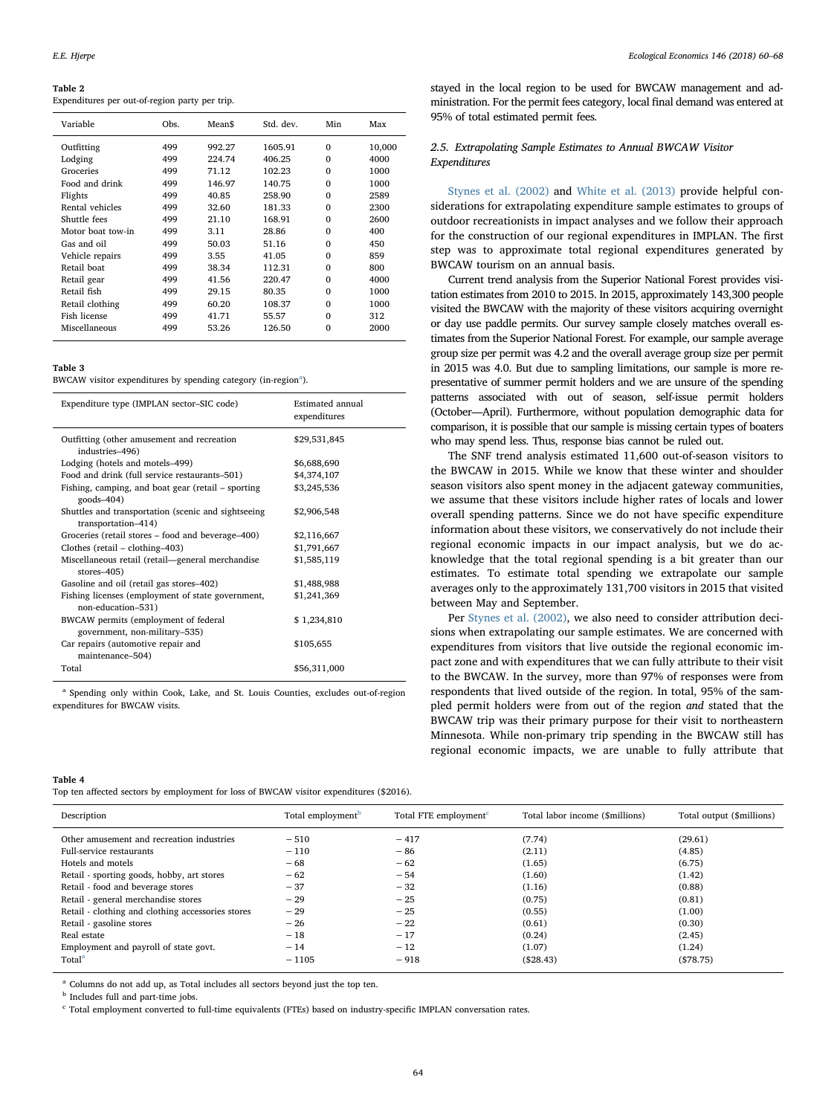#### <span id="page-4-4"></span>Table 2

Expenditures per out-of-region party per trip.

| Variable          | Obs. | Mean\$ | Std. dev. | Min      | Max    |
|-------------------|------|--------|-----------|----------|--------|
| Outfitting        | 499  | 992.27 | 1605.91   | $\Omega$ | 10,000 |
| Lodging           | 499  | 224.74 | 406.25    | $\Omega$ | 4000   |
| Groceries         | 499  | 71.12  | 102.23    | $\Omega$ | 1000   |
| Food and drink    | 499  | 146.97 | 140.75    | $\Omega$ | 1000   |
| Flights           | 499  | 40.85  | 258.90    | $\Omega$ | 2589   |
| Rental vehicles   | 499  | 32.60  | 181.33    | $\Omega$ | 2300   |
| Shuttle fees      | 499  | 21.10  | 168.91    | $\Omega$ | 2600   |
| Motor boat tow-in | 499  | 3.11   | 28.86     | $\Omega$ | 400    |
| Gas and oil       | 499  | 50.03  | 51.16     | $\Omega$ | 450    |
| Vehicle repairs   | 499  | 3.55   | 41.05     | $\Omega$ | 859    |
| Retail boat       | 499  | 38.34  | 112.31    | $\Omega$ | 800    |
| Retail gear       | 499  | 41.56  | 220.47    | 0        | 4000   |
| Retail fish       | 499  | 29.15  | 80.35     | $\Omega$ | 1000   |
| Retail clothing   | 499  | 60.20  | 108.37    | $\Omega$ | 1000   |
| Fish license      | 499  | 41.71  | 55.57     | $\Omega$ | 312    |
| Miscellaneous     | 499  | 53.26  | 126.50    | 0        | 2000   |
|                   |      |        |           |          |        |

#### <span id="page-4-5"></span>Table 3

BWCAW visitor expenditures by spending c[a](#page-4-0)tegory (in-region<sup>a</sup>).

| Expenditure type (IMPLAN sector-SIC code)                                  | Estimated annual<br>expenditures |
|----------------------------------------------------------------------------|----------------------------------|
| Outfitting (other amusement and recreation<br>industries-496)              | \$29,531,845                     |
| Lodging (hotels and motels-499)                                            | \$6,688,690                      |
| Food and drink (full service restaurants-501)                              | \$4,374,107                      |
| Fishing, camping, and boat gear (retail – sporting<br>$goods-404)$         | \$3,245,536                      |
| Shuttles and transportation (scenic and sightseeing<br>transportation-414) | \$2,906,548                      |
| Groceries (retail stores - food and beverage-400)                          | \$2,116,667                      |
| Clothes (retail - clothing-403)                                            | \$1,791,667                      |
| Miscellaneous retail (retail-general merchandise<br>stores-405)            | \$1,585,119                      |
| Gasoline and oil (retail gas stores-402)                                   | \$1,488,988                      |
| Fishing licenses (employment of state government,<br>non-education-531)    | \$1,241,369                      |
| BWCAW permits (employment of federal<br>government, non-military-535)      | \$1,234,810                      |
| Car repairs (automotive repair and<br>maintenance-504)                     | \$105,655                        |
| Total                                                                      | \$56,311,000                     |

<span id="page-4-0"></span><sup>a</sup> Spending only within Cook, Lake, and St. Louis Counties, excludes out-of-region expenditures for BWCAW visits.

#### <span id="page-4-6"></span>Table 4

Top ten affected sectors by employment for loss of BWCAW visitor expenditures (\$2016).

stayed in the local region to be used for BWCAW management and administration. For the permit fees category, local final demand was entered at 95% of total estimated permit fees.

## 2.5. Extrapolating Sample Estimates to Annual BWCAW Visitor Expenditures

[Stynes et al. \(2002\)](#page-8-31) and [White et al. \(2013\)](#page-8-32) provide helpful considerations for extrapolating expenditure sample estimates to groups of outdoor recreationists in impact analyses and we follow their approach for the construction of our regional expenditures in IMPLAN. The first step was to approximate total regional expenditures generated by BWCAW tourism on an annual basis.

Current trend analysis from the Superior National Forest provides visitation estimates from 2010 to 2015. In 2015, approximately 143,300 people visited the BWCAW with the majority of these visitors acquiring overnight or day use paddle permits. Our survey sample closely matches overall estimates from the Superior National Forest. For example, our sample average group size per permit was 4.2 and the overall average group size per permit in 2015 was 4.0. But due to sampling limitations, our sample is more representative of summer permit holders and we are unsure of the spending patterns associated with out of season, self-issue permit holders (October—April). Furthermore, without population demographic data for comparison, it is possible that our sample is missing certain types of boaters who may spend less. Thus, response bias cannot be ruled out.

The SNF trend analysis estimated 11,600 out-of-season visitors to the BWCAW in 2015. While we know that these winter and shoulder season visitors also spent money in the adjacent gateway communities, we assume that these visitors include higher rates of locals and lower overall spending patterns. Since we do not have specific expenditure information about these visitors, we conservatively do not include their regional economic impacts in our impact analysis, but we do acknowledge that the total regional spending is a bit greater than our estimates. To estimate total spending we extrapolate our sample averages only to the approximately 131,700 visitors in 2015 that visited between May and September.

Per [Stynes et al. \(2002\),](#page-8-31) we also need to consider attribution decisions when extrapolating our sample estimates. We are concerned with expenditures from visitors that live outside the regional economic impact zone and with expenditures that we can fully attribute to their visit to the BWCAW. In the survey, more than 97% of responses were from respondents that lived outside of the region. In total, 95% of the sampled permit holders were from out of the region and stated that the BWCAW trip was their primary purpose for their visit to northeastern Minnesota. While non-primary trip spending in the BWCAW still has regional economic impacts, we are unable to fully attribute that

| Description                                       | Total employment <sup>b</sup> | Total FTE employment <sup>c</sup> | Total labor income (\$millions) | Total output (\$millions) |
|---------------------------------------------------|-------------------------------|-----------------------------------|---------------------------------|---------------------------|
| Other amusement and recreation industries         | $-510$                        | $-417$                            | (7.74)                          | (29.61)                   |
| Full-service restaurants                          | $-110$                        | $-86$                             | (2.11)                          | (4.85)                    |
| Hotels and motels                                 | $-68$                         | $-62$                             | (1.65)                          | (6.75)                    |
| Retail - sporting goods, hobby, art stores        | $-62$                         | $-54$                             | (1.60)                          | (1.42)                    |
| Retail - food and beverage stores                 | $-37$                         | $-32$                             | (1.16)                          | (0.88)                    |
| Retail - general merchandise stores               | $-29$                         | $-25$                             | (0.75)                          | (0.81)                    |
| Retail - clothing and clothing accessories stores | $-29$                         | $-25$                             | (0.55)                          | (1.00)                    |
| Retail - gasoline stores                          | $-26$                         | $-22$                             | (0.61)                          | (0.30)                    |
| Real estate                                       | $-18$                         | $-17$                             | (0.24)                          | (2.45)                    |
| Employment and payroll of state govt.             | $-14$                         | $-12$                             | (1.07)                          | (1.24)                    |
| Total <sup>a</sup>                                | $-1105$                       | $-918$                            | (\$28.43)                       | (\$78.75)                 |

<span id="page-4-3"></span><sup>a</sup> Columns do not add up, as Total includes all sectors beyond just the top ten.

<span id="page-4-1"></span><sup>b</sup> Includes full and part-time jobs.

<span id="page-4-2"></span><sup>c</sup> Total employment converted to full-time equivalents (FTEs) based on industry-specific IMPLAN conversation rates.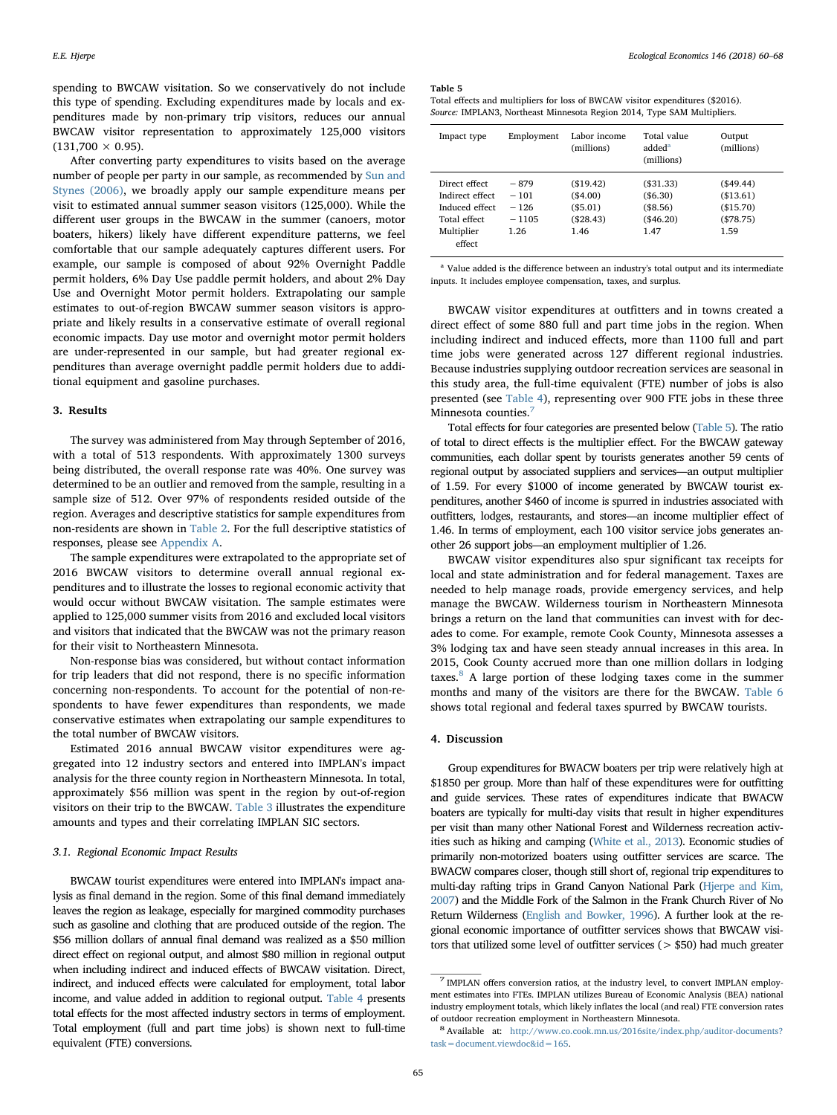spending to BWCAW visitation. So we conservatively do not include this type of spending. Excluding expenditures made by locals and expenditures made by non-primary trip visitors, reduces our annual BWCAW visitor representation to approximately 125,000 visitors  $(131,700 \times 0.95)$ .

After converting party expenditures to visits based on the average number of people per party in our sample, as recommended by [Sun and](#page-8-33) [Stynes \(2006\),](#page-8-33) we broadly apply our sample expenditure means per visit to estimated annual summer season visitors (125,000). While the different user groups in the BWCAW in the summer (canoers, motor boaters, hikers) likely have different expenditure patterns, we feel comfortable that our sample adequately captures different users. For example, our sample is composed of about 92% Overnight Paddle permit holders, 6% Day Use paddle permit holders, and about 2% Day Use and Overnight Motor permit holders. Extrapolating our sample estimates to out-of-region BWCAW summer season visitors is appropriate and likely results in a conservative estimate of overall regional economic impacts. Day use motor and overnight motor permit holders are under-represented in our sample, but had greater regional expenditures than average overnight paddle permit holders due to additional equipment and gasoline purchases.

### 3. Results

The survey was administered from May through September of 2016, with a total of 513 respondents. With approximately 1300 surveys being distributed, the overall response rate was 40%. One survey was determined to be an outlier and removed from the sample, resulting in a sample size of 512. Over 97% of respondents resided outside of the region. Averages and descriptive statistics for sample expenditures from non-residents are shown in [Table 2.](#page-4-4) For the full descriptive statistics of responses, please see [Appendix A](#page-7-0).

The sample expenditures were extrapolated to the appropriate set of 2016 BWCAW visitors to determine overall annual regional expenditures and to illustrate the losses to regional economic activity that would occur without BWCAW visitation. The sample estimates were applied to 125,000 summer visits from 2016 and excluded local visitors and visitors that indicated that the BWCAW was not the primary reason for their visit to Northeastern Minnesota.

Non-response bias was considered, but without contact information for trip leaders that did not respond, there is no specific information concerning non-respondents. To account for the potential of non-respondents to have fewer expenditures than respondents, we made conservative estimates when extrapolating our sample expenditures to the total number of BWCAW visitors.

Estimated 2016 annual BWCAW visitor expenditures were aggregated into 12 industry sectors and entered into IMPLAN's impact analysis for the three county region in Northeastern Minnesota. In total, approximately \$56 million was spent in the region by out-of-region visitors on their trip to the BWCAW. [Table 3](#page-4-5) illustrates the expenditure amounts and types and their correlating IMPLAN SIC sectors.

### 3.1. Regional Economic Impact Results

BWCAW tourist expenditures were entered into IMPLAN's impact analysis as final demand in the region. Some of this final demand immediately leaves the region as leakage, especially for margined commodity purchases such as gasoline and clothing that are produced outside of the region. The \$56 million dollars of annual final demand was realized as a \$50 million direct effect on regional output, and almost \$80 million in regional output when including indirect and induced effects of BWCAW visitation. Direct, indirect, and induced effects were calculated for employment, total labor income, and value added in addition to regional output. [Table 4](#page-4-6) presents total effects for the most affected industry sectors in terms of employment. Total employment (full and part time jobs) is shown next to full-time equivalent (FTE) conversions.

#### <span id="page-5-1"></span>Table 5

|  | Total effects and multipliers for loss of BWCAW visitor expenditures (\$2016). |
|--|--------------------------------------------------------------------------------|
|  | Source: IMPLAN3, Northeast Minnesota Region 2014, Type SAM Multipliers.        |

| Impact type                                                                                | Employment                                    | Labor income<br>(millions)                             | Total value<br>added <sup>a</sup><br>(millions)         | Output<br>(millions)                                         |
|--------------------------------------------------------------------------------------------|-----------------------------------------------|--------------------------------------------------------|---------------------------------------------------------|--------------------------------------------------------------|
| Direct effect<br>Indirect effect<br>Induced effect<br>Total effect<br>Multiplier<br>effect | $-879$<br>$-101$<br>$-126$<br>$-1105$<br>1.26 | (\$19.42)<br>(\$4.00)<br>(\$5.01)<br>(\$28.43)<br>1.46 | ( \$31.33)<br>(\$6.30)<br>(\$8.56)<br>(\$46.20)<br>1.47 | $($ \$49.44)<br>( \$13.61)<br>(\$15.70)<br>(\$78.75)<br>1.59 |

<span id="page-5-3"></span><sup>a</sup> Value added is the difference between an industry's total output and its intermediate inputs. It includes employee compensation, taxes, and surplus.

BWCAW visitor expenditures at outfitters and in towns created a direct effect of some 880 full and part time jobs in the region. When including indirect and induced effects, more than 1100 full and part time jobs were generated across 127 different regional industries. Because industries supplying outdoor recreation services are seasonal in this study area, the full-time equivalent (FTE) number of jobs is also presented (see [Table 4\)](#page-4-6), representing over 900 FTE jobs in these three Minnesota counties.<sup>[7](#page-5-0)</sup>

Total effects for four categories are presented below ([Table 5](#page-5-1)). The ratio of total to direct effects is the multiplier effect. For the BWCAW gateway communities, each dollar spent by tourists generates another 59 cents of regional output by associated suppliers and services—an output multiplier of 1.59. For every \$1000 of income generated by BWCAW tourist expenditures, another \$460 of income is spurred in industries associated with outfitters, lodges, restaurants, and stores—an income multiplier effect of 1.46. In terms of employment, each 100 visitor service jobs generates another 26 support jobs—an employment multiplier of 1.26.

BWCAW visitor expenditures also spur significant tax receipts for local and state administration and for federal management. Taxes are needed to help manage roads, provide emergency services, and help manage the BWCAW. Wilderness tourism in Northeastern Minnesota brings a return on the land that communities can invest with for decades to come. For example, remote Cook County, Minnesota assesses a 3% lodging tax and have seen steady annual increases in this area. In 2015, Cook County accrued more than one million dollars in lodging taxes.[8](#page-5-2) A large portion of these lodging taxes come in the summer months and many of the visitors are there for the BWCAW. [Table 6](#page-6-0) shows total regional and federal taxes spurred by BWCAW tourists.

## 4. Discussion

Group expenditures for BWACW boaters per trip were relatively high at \$1850 per group. More than half of these expenditures were for outfitting and guide services. These rates of expenditures indicate that BWACW boaters are typically for multi-day visits that result in higher expenditures per visit than many other National Forest and Wilderness recreation activities such as hiking and camping [\(White et al., 2013](#page-8-32)). Economic studies of primarily non-motorized boaters using outfitter services are scarce. The BWACW compares closer, though still short of, regional trip expenditures to multi-day rafting trips in Grand Canyon National Park ([Hjerpe and Kim,](#page-8-24) [2007\)](#page-8-24) and the Middle Fork of the Salmon in the Frank Church River of No Return Wilderness ([English and Bowker, 1996](#page-8-22)). A further look at the regional economic importance of outfitter services shows that BWCAW visitors that utilized some level of outfitter services (> \$50) had much greater

<span id="page-5-0"></span><sup>7</sup> IMPLAN offers conversion ratios, at the industry level, to convert IMPLAN employment estimates into FTEs. IMPLAN utilizes Bureau of Economic Analysis (BEA) national industry employment totals, which likely inflates the local (and real) FTE conversion rates % of outdoor recreation employment in Northeastern Minnesota. <br>  $^\mathrm{8}$  Available  $\,$  at:  $\,$  [http://www.co.cook.mn.us/2016site/index.php/auditor-documents?](http://www.co.cook.mn.us/2016site/index.php/auditor-documents?task=document.viewdoc&id=165)

<span id="page-5-2"></span>[task=document.viewdoc&id=165.](http://www.co.cook.mn.us/2016site/index.php/auditor-documents?task=document.viewdoc&id=165)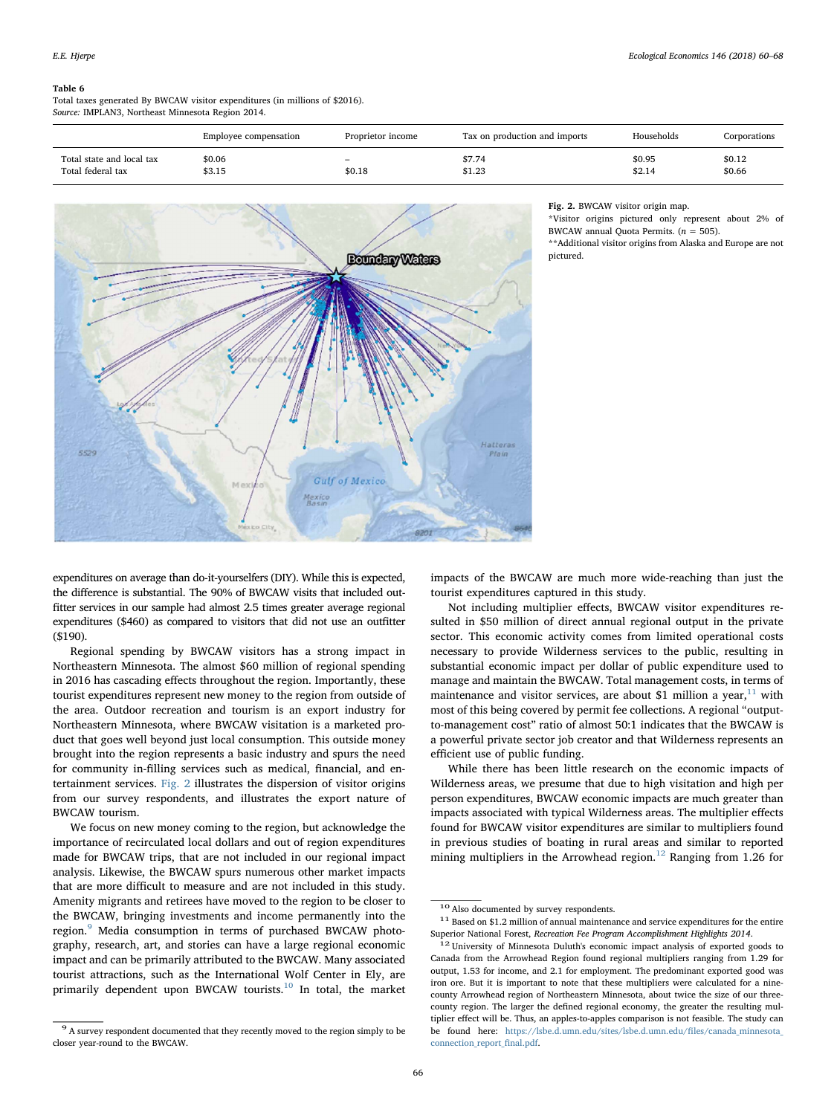#### <span id="page-6-0"></span>Table 6

Total taxes generated By BWCAW visitor expenditures (in millions of \$2016). Source: IMPLAN3, Northeast Minnesota Region 2014.

|                           | Employee compensation | Proprietor income | Tax on production and imports | Households | Corporations |
|---------------------------|-----------------------|-------------------|-------------------------------|------------|--------------|
| Total state and local tax | \$0.06                | -                 | \$7.74                        | \$0.95     | \$0.12       |
| Total federal tax         | \$3.15                | \$0.18            | \$1.23                        | \$2.14     | \$0.66       |

<span id="page-6-1"></span>

## Fig. 2. BWCAW visitor origin map.

\*Visitor origins pictured only represent about 2% of BWCAW annual Quota Permits.  $(n = 505)$ .

\*\*Additional visitor origins from Alaska and Europe are not pictured.

expenditures on average than do-it-yourselfers (DIY). While this is expected, the difference is substantial. The 90% of BWCAW visits that included outfitter services in our sample had almost 2.5 times greater average regional expenditures (\$460) as compared to visitors that did not use an outfitter (\$190).

Regional spending by BWCAW visitors has a strong impact in Northeastern Minnesota. The almost \$60 million of regional spending in 2016 has cascading effects throughout the region. Importantly, these tourist expenditures represent new money to the region from outside of the area. Outdoor recreation and tourism is an export industry for Northeastern Minnesota, where BWCAW visitation is a marketed product that goes well beyond just local consumption. This outside money brought into the region represents a basic industry and spurs the need for community in-filling services such as medical, financial, and entertainment services. [Fig. 2](#page-6-1) illustrates the dispersion of visitor origins from our survey respondents, and illustrates the export nature of BWCAW tourism.

We focus on new money coming to the region, but acknowledge the importance of recirculated local dollars and out of region expenditures made for BWCAW trips, that are not included in our regional impact analysis. Likewise, the BWCAW spurs numerous other market impacts that are more difficult to measure and are not included in this study. Amenity migrants and retirees have moved to the region to be closer to the BWCAW, bringing investments and income permanently into the region.<sup>[9](#page-6-2)</sup> Media consumption in terms of purchased BWCAW photography, research, art, and stories can have a large regional economic impact and can be primarily attributed to the BWCAW. Many associated tourist attractions, such as the International Wolf Center in Ely, are primarily dependent upon BWCAW tourists.<sup>[10](#page-6-3)</sup> In total, the market impacts of the BWCAW are much more wide-reaching than just the tourist expenditures captured in this study.

Not including multiplier effects, BWCAW visitor expenditures resulted in \$50 million of direct annual regional output in the private sector. This economic activity comes from limited operational costs necessary to provide Wilderness services to the public, resulting in substantial economic impact per dollar of public expenditure used to manage and maintain the BWCAW. Total management costs, in terms of maintenance and visitor services, are about \$1 million a year, $1/1$  with most of this being covered by permit fee collections. A regional "outputto-management cost" ratio of almost 50:1 indicates that the BWCAW is a powerful private sector job creator and that Wilderness represents an efficient use of public funding.

While there has been little research on the economic impacts of Wilderness areas, we presume that due to high visitation and high per person expenditures, BWCAW economic impacts are much greater than impacts associated with typical Wilderness areas. The multiplier effects found for BWCAW visitor expenditures are similar to multipliers found in previous studies of boating in rural areas and similar to reported mining multipliers in the Arrowhead region.<sup>[12](#page-6-5)</sup> Ranging from 1.26 for

<span id="page-6-2"></span><sup>9</sup> A survey respondent documented that they recently moved to the region simply to be closer year-round to the BWCAW.

<span id="page-6-4"></span><span id="page-6-3"></span> $^{\rm 10}$  Also documented by survey respondents.  $^{\rm 11}$  Based on \$1.2 million of annual maintenance and service expenditures for the entire Superior National Forest, Recreation Fee Program Accomplishment Highlights 2014.  $12$  University of Minnesota Duluth's economic impact analysis of exported goods to

<span id="page-6-5"></span>Canada from the Arrowhead Region found regional multipliers ranging from 1.29 for output, 1.53 for income, and 2.1 for employment. The predominant exported good was iron ore. But it is important to note that these multipliers were calculated for a ninecounty Arrowhead region of Northeastern Minnesota, about twice the size of our threecounty region. The larger the defined regional economy, the greater the resulting multiplier effect will be. Thus, an apples-to-apples comparison is not feasible. The study can be found here: [https://lsbe.d.umn.edu/sites/lsbe.d.umn.edu/](https://lsbe.d.umn.edu/sites/lsbe.d.umn.edu/files/canada_minnesota_connection_report_final.pdf)files/canada\_minnesota\_ [connection\\_report\\_](https://lsbe.d.umn.edu/sites/lsbe.d.umn.edu/files/canada_minnesota_connection_report_final.pdf)final.pdf.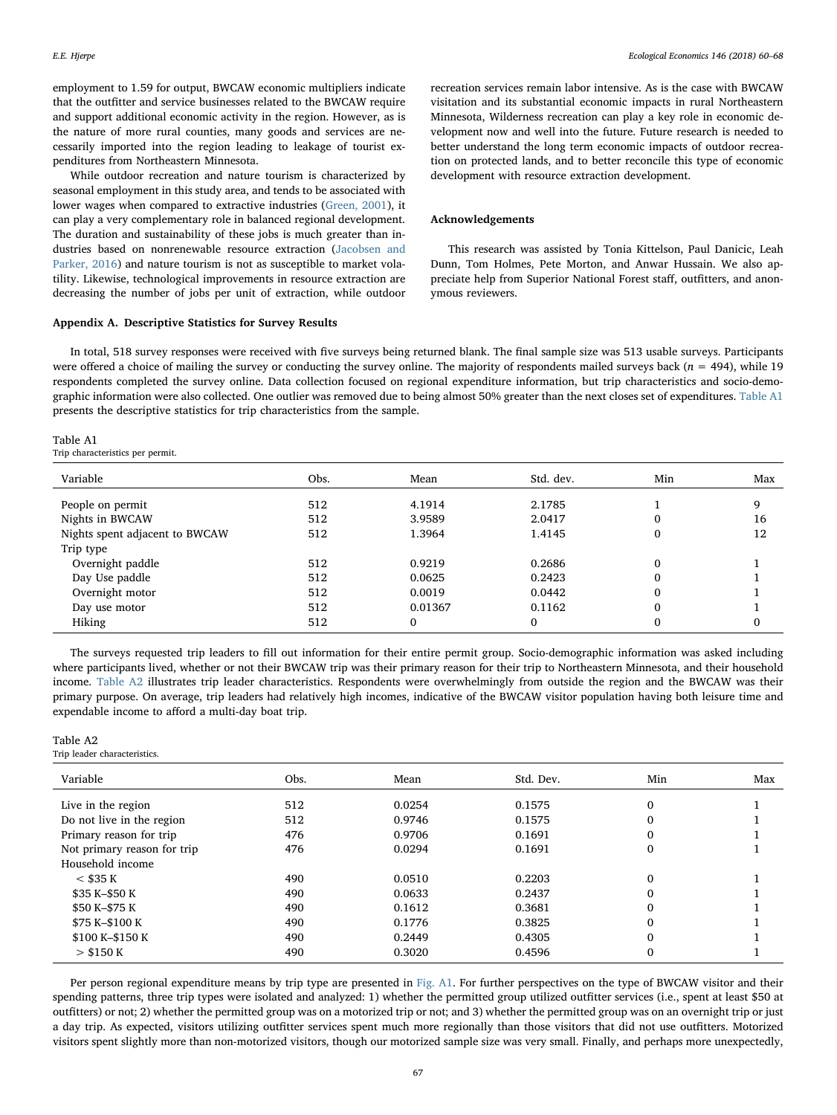E.E. Hjerpe *Ecological Economics 146 (2018) 60–68*

employment to 1.59 for output, BWCAW economic multipliers indicate that the outfitter and service businesses related to the BWCAW require and support additional economic activity in the region. However, as is the nature of more rural counties, many goods and services are necessarily imported into the region leading to leakage of tourist expenditures from Northeastern Minnesota.

While outdoor recreation and nature tourism is characterized by seasonal employment in this study area, and tends to be associated with lower wages when compared to extractive industries ([Green, 2001\)](#page-8-27), it can play a very complementary role in balanced regional development. The duration and sustainability of these jobs is much greater than industries based on nonrenewable resource extraction [\(Jacobsen and](#page-8-1) [Parker, 2016\)](#page-8-1) and nature tourism is not as susceptible to market volatility. Likewise, technological improvements in resource extraction are decreasing the number of jobs per unit of extraction, while outdoor

## <span id="page-7-0"></span>Appendix A. Descriptive Statistics for Survey Results

recreation services remain labor intensive. As is the case with BWCAW visitation and its substantial economic impacts in rural Northeastern Minnesota, Wilderness recreation can play a key role in economic development now and well into the future. Future research is needed to better understand the long term economic impacts of outdoor recreation on protected lands, and to better reconcile this type of economic development with resource extraction development.

## Acknowledgements

This research was assisted by Tonia Kittelson, Paul Danicic, Leah Dunn, Tom Holmes, Pete Morton, and Anwar Hussain. We also appreciate help from Superior National Forest staff, outfitters, and anonymous reviewers.

In total, 518 survey responses were received with five surveys being returned blank. The final sample size was 513 usable surveys. Participants were offered a choice of mailing the survey or conducting the survey online. The majority of respondents mailed surveys back ( $n = 494$ ), while 19 respondents completed the survey online. Data collection focused on regional expenditure information, but trip characteristics and socio-demographic information were also collected. One outlier was removed due to being almost 50% greater than the next closes set of expenditures. [Table A1](#page-7-1) presents the descriptive statistics for trip characteristics from the sample.

#### <span id="page-7-1"></span>Table A1

Trip characteristics per permit.

| Variable                       | Obs. | Mean    | Std. dev. | Min          | Max |
|--------------------------------|------|---------|-----------|--------------|-----|
| People on permit               | 512  | 4.1914  | 2.1785    |              | 9   |
| Nights in BWCAW                | 512  | 3.9589  | 2.0417    | 0            | 16  |
| Nights spent adjacent to BWCAW | 512  | 1.3964  | 1.4145    | 0            | 12  |
| Trip type                      |      |         |           |              |     |
| Overnight paddle               | 512  | 0.9219  | 0.2686    | $\mathbf 0$  |     |
| Day Use paddle                 | 512  | 0.0625  | 0.2423    | $\mathbf 0$  |     |
| Overnight motor                | 512  | 0.0019  | 0.0442    | $\mathbf 0$  |     |
| Day use motor                  | 512  | 0.01367 | 0.1162    | $\mathbf{0}$ |     |
| Hiking                         | 512  | 0       | 0         | 0            | 0   |
|                                |      |         |           |              |     |

The surveys requested trip leaders to fill out information for their entire permit group. Socio-demographic information was asked including where participants lived, whether or not their BWCAW trip was their primary reason for their trip to Northeastern Minnesota, and their household income. [Table A2](#page-7-2) illustrates trip leader characteristics. Respondents were overwhelmingly from outside the region and the BWCAW was their primary purpose. On average, trip leaders had relatively high incomes, indicative of the BWCAW visitor population having both leisure time and expendable income to afford a multi-day boat trip.

## <span id="page-7-2"></span>Table A2

Trip leader characteristics.

| Variable                    | Obs. | Mean   | Std. Dev. | Min | Max |
|-----------------------------|------|--------|-----------|-----|-----|
| Live in the region          | 512  | 0.0254 | 0.1575    | 0   |     |
| Do not live in the region   | 512  | 0.9746 | 0.1575    |     |     |
| Primary reason for trip     | 476  | 0.9706 | 0.1691    |     |     |
| Not primary reason for trip | 476  | 0.0294 | 0.1691    |     |     |
| Household income            |      |        |           |     |     |
| $<$ \$35 K                  | 490  | 0.0510 | 0.2203    |     |     |
| \$35 K-\$50 K               | 490  | 0.0633 | 0.2437    |     |     |
| \$50 K-\$75 K               | 490  | 0.1612 | 0.3681    |     |     |
| \$75 K-\$100 K              | 490  | 0.1776 | 0.3825    |     |     |
| \$100 K-\$150 K             | 490  | 0.2449 | 0.4305    |     |     |
| > \$150 K                   | 490  | 0.3020 | 0.4596    |     |     |

Per person regional expenditure means by trip type are presented in [Fig. A1](#page-8-34). For further perspectives on the type of BWCAW visitor and their spending patterns, three trip types were isolated and analyzed: 1) whether the permitted group utilized outfitter services (i.e., spent at least \$50 at outfitters) or not; 2) whether the permitted group was on a motorized trip or not; and 3) whether the permitted group was on an overnight trip or just a day trip. As expected, visitors utilizing outfitter services spent much more regionally than those visitors that did not use outfitters. Motorized visitors spent slightly more than non-motorized visitors, though our motorized sample size was very small. Finally, and perhaps more unexpectedly,